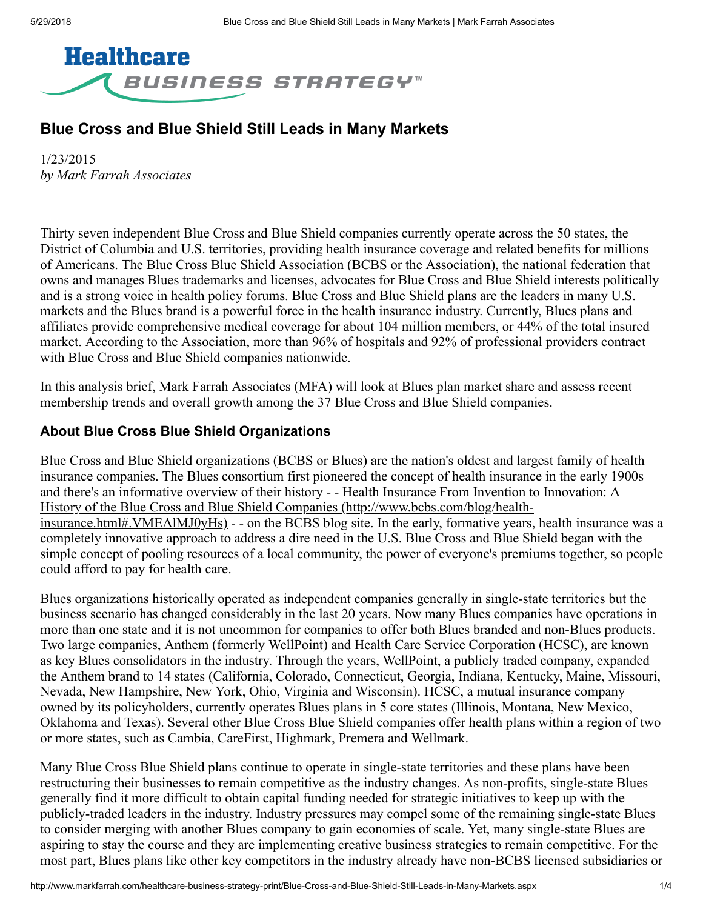

# Blue Cross and Blue Shield Still Leads in Many Markets

1/23/2015 *by Mark Farrah Associates*

Thirty seven independent Blue Cross and Blue Shield companies currently operate across the 50 states, the District of Columbia and U.S. territories, providing health insurance coverage and related benefits for millions of Americans. The Blue Cross Blue Shield Association (BCBS or the Association), the national federation that owns and manages Blues trademarks and licenses, advocates for Blue Cross and Blue Shield interests politically and is a strong voice in health policy forums. Blue Cross and Blue Shield plans are the leaders in many U.S. markets and the Blues brand is a powerful force in the health insurance industry. Currently, Blues plans and affiliates provide comprehensive medical coverage for about 104 million members, or 44% of the total insured market. According to the Association, more than 96% of hospitals and 92% of professional providers contract with Blue Cross and Blue Shield companies nationwide.

In this analysis brief, Mark Farrah Associates (MFA) will look at Blues plan market share and assess recent membership trends and overall growth among the 37 Blue Cross and Blue Shield companies.

#### About Blue Cross Blue Shield Organizations

Blue Cross and Blue Shield organizations (BCBS or Blues) are the nation's oldest and largest family of health insurance companies. The Blues consortium first pioneered the concept of health insurance in the early 1900s [and there's an informative overview of their history - - Health Insurance From Invention to Innovation: A](http://www.bcbs.com/blog/health-insurance.html#.VMEAlMJ0yHs) History of the Blue Cross and Blue Shield Companies (http://www.bcbs.com/blog/healthinsurance.html#.VMEAlMJ0yHs) - - on the BCBS blog site. In the early, formative years, health insurance was a completely innovative approach to address a dire need in the U.S. Blue Cross and Blue Shield began with the simple concept of pooling resources of a local community, the power of everyone's premiums together, so people could afford to pay for health care.

Blues organizations historically operated as independent companies generally in single-state territories but the business scenario has changed considerably in the last 20 years. Now many Blues companies have operations in more than one state and it is not uncommon for companies to offer both Blues branded and non-Blues products. Two large companies, Anthem (formerly WellPoint) and Health Care Service Corporation (HCSC), are known as key Blues consolidators in the industry. Through the years, WellPoint, a publicly traded company, expanded the Anthem brand to 14 states (California, Colorado, Connecticut, Georgia, Indiana, Kentucky, Maine, Missouri, Nevada, New Hampshire, New York, Ohio, Virginia and Wisconsin). HCSC, a mutual insurance company owned by its policyholders, currently operates Blues plans in 5 core states (Illinois, Montana, New Mexico, Oklahoma and Texas). Several other Blue Cross Blue Shield companies offer health plans within a region of two or more states, such as Cambia, CareFirst, Highmark, Premera and Wellmark.

Many Blue Cross Blue Shield plans continue to operate in single-state territories and these plans have been restructuring their businesses to remain competitive as the industry changes. As non-profits, single-state Blues generally find it more difficult to obtain capital funding needed for strategic initiatives to keep up with the publicly-traded leaders in the industry. Industry pressures may compel some of the remaining single-state Blues to consider merging with another Blues company to gain economies of scale. Yet, many single-state Blues are aspiring to stay the course and they are implementing creative business strategies to remain competitive. For the most part, Blues plans like other key competitors in the industry already have non-BCBS licensed subsidiaries or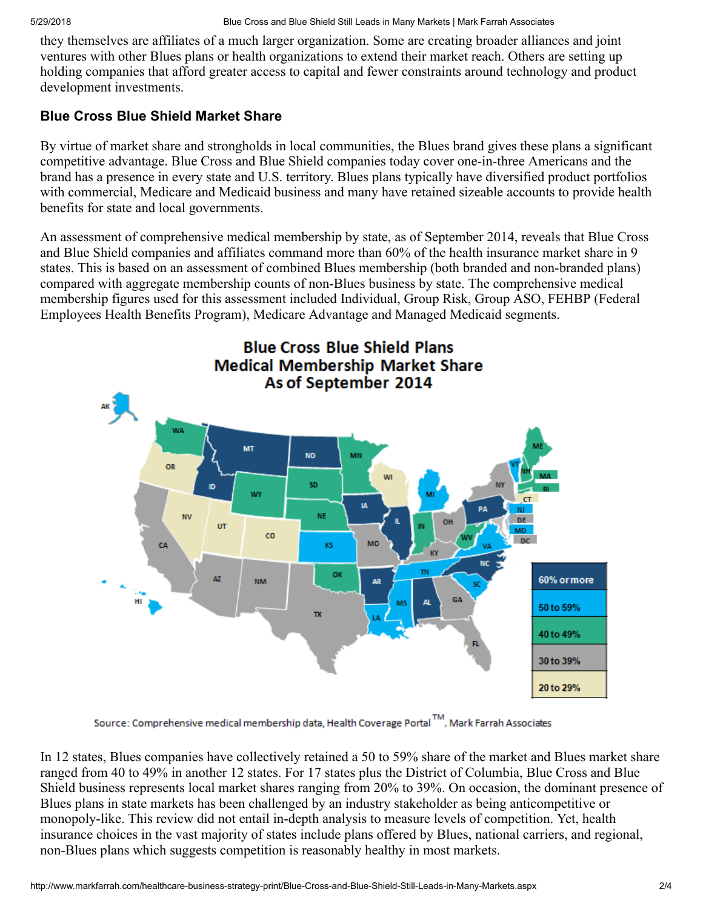they themselves are affiliates of a much larger organization. Some are creating broader alliances and joint ventures with other Blues plans or health organizations to extend their market reach. Others are setting up holding companies that afford greater access to capital and fewer constraints around technology and product development investments.

# Blue Cross Blue Shield Market Share

By virtue of market share and strongholds in local communities, the Blues brand gives these plans a significant competitive advantage. Blue Cross and Blue Shield companies today cover one-in-three Americans and the brand has a presence in every state and U.S. territory. Blues plans typically have diversified product portfolios with commercial, Medicare and Medicaid business and many have retained sizeable accounts to provide health benefits for state and local governments.

An assessment of comprehensive medical membership by state, as of September 2014, reveals that Blue Cross and Blue Shield companies and affiliates command more than 60% of the health insurance market share in 9 states. This is based on an assessment of combined Blues membership (both branded and non-branded plans) compared with aggregate membership counts of non-Blues business by state. The comprehensive medical membership figures used for this assessment included Individual, Group Risk, Group ASO, FEHBP (Federal Employees Health Benefits Program), Medicare Advantage and Managed Medicaid segments.



Source: Comprehensive medical membership data, Health Coverage Portal<sup>TM</sup>, Mark Farrah Associates

In 12 states, Blues companies have collectively retained a 50 to 59% share of the market and Blues market share ranged from 40 to 49% in another 12 states. For 17 states plus the District of Columbia, Blue Cross and Blue Shield business represents local market shares ranging from 20% to 39%. On occasion, the dominant presence of Blues plans in state markets has been challenged by an industry stakeholder as being anticompetitive or monopoly-like. This review did not entail in-depth analysis to measure levels of competition. Yet, health insurance choices in the vast majority of states include plans offered by Blues, national carriers, and regional, non-Blues plans which suggests competition is reasonably healthy in most markets.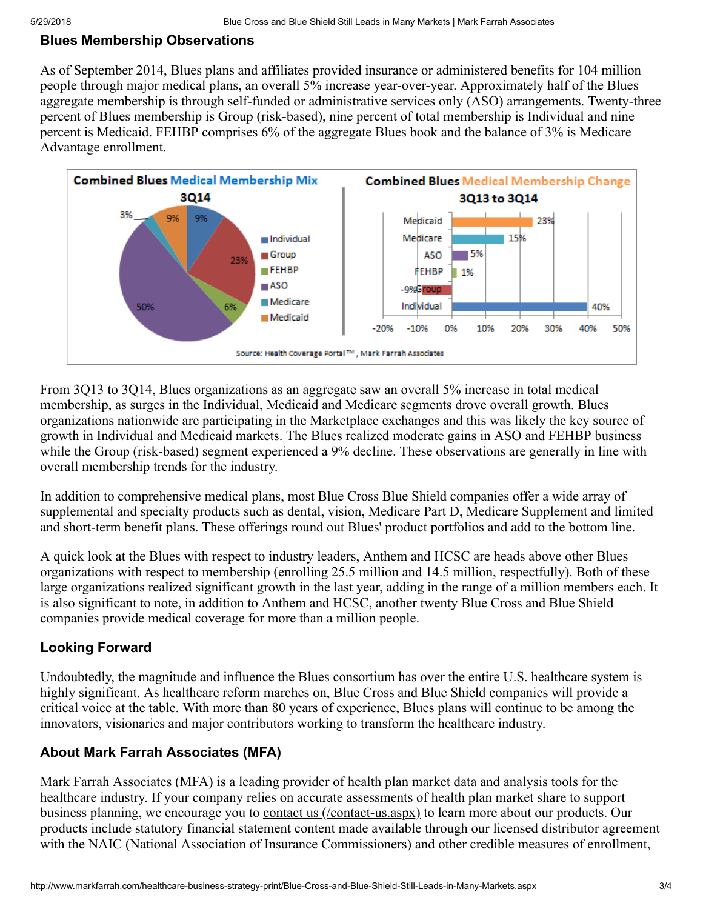#### Blues Membership Observations

As of September 2014, Blues plans and affiliates provided insurance or administered benefits for 104 million people through major medical plans, an overall 5% increase year-over-year. Approximately half of the Blues aggregate membership is through self-funded or administrative services only (ASO) arrangements. Twenty-three percent of Blues membership is Group (risk-based), nine percent of total membership is Individual and nine percent is Medicaid. FEHBP comprises 6% of the aggregate Blues book and the balance of 3% is Medicare Advantage enrollment.



From 3Q13 to 3Q14, Blues organizations as an aggregate saw an overall 5% increase in total medical membership, as surges in the Individual, Medicaid and Medicare segments drove overall growth. Blues organizations nationwide are participating in the Marketplace exchanges and this was likely the key source of growth in Individual and Medicaid markets. The Blues realized moderate gains in ASO and FEHBP business while the Group (risk-based) segment experienced a 9% decline. These observations are generally in line with overall membership trends for the industry.

In addition to comprehensive medical plans, most Blue Cross Blue Shield companies offer a wide array of supplemental and specialty products such as dental, vision, Medicare Part D, Medicare Supplement and limited and short-term benefit plans. These offerings round out Blues' product portfolios and add to the bottom line.

A quick look at the Blues with respect to industry leaders, Anthem and HCSC are heads above other Blues organizations with respect to membership (enrolling 25.5 million and 14.5 million, respectfully). Both of these large organizations realized significant growth in the last year, adding in the range of a million members each. It is also significant to note, in addition to Anthem and HCSC, another twenty Blue Cross and Blue Shield companies provide medical coverage for more than a million people.

## Looking Forward

Undoubtedly, the magnitude and influence the Blues consortium has over the entire U.S. healthcare system is highly significant. As healthcare reform marches on, Blue Cross and Blue Shield companies will provide a critical voice at the table. With more than 80 years of experience, Blues plans will continue to be among the innovators, visionaries and major contributors working to transform the healthcare industry.

## About Mark Farrah Associates (MFA)

Mark Farrah Associates (MFA) is a leading provider of health plan market data and analysis tools for the healthcare industry. If your company relies on accurate assessments of health plan market share to support business planning, we encourage you to **contact us** (/contact-us.aspx) to learn more about our products. Our products include statutory financial statement content made available through our licensed distributor agreement with the NAIC (National Association of Insurance Commissioners) and other credible measures of enrollment,